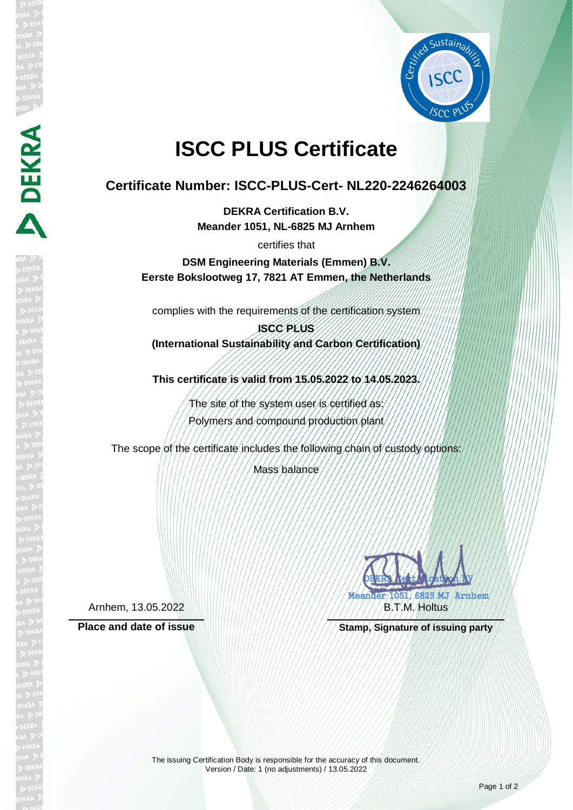

## **ISCC PLUS Certificate**

## **Certificate Number: ISCC-PLUS-Cert- NL220-2246264003**

**DEKRA Certification B.V. Meander 1051, NL-6825 MJ Arnhem**

certifies that

**DSM Engineering Materials (Emmen) B.V. Eerste Bokslootweg 17, 7821 AT Emmen, the Netherlands**

complies with the requirements of the certification system

**ISCC PLUS (International Sustainability and Carbon Certification)**

**This certificate is valid from 15.05.2022 to 14.05.2023.**

The site of the system user is certified as: Polymers and compound production plant

The scope of the certificate includes the following chain of custody options:

Mass balance

Arnhem, 13.05.2022

**DEKRA** 

DEKRA REAL MIGHAN AV Meander 1051, 6825 MJ Arnhem FRATA AA B.T.M. Holtus

Place and date of issue **Stamp, Stamp, Signature of issuing party**